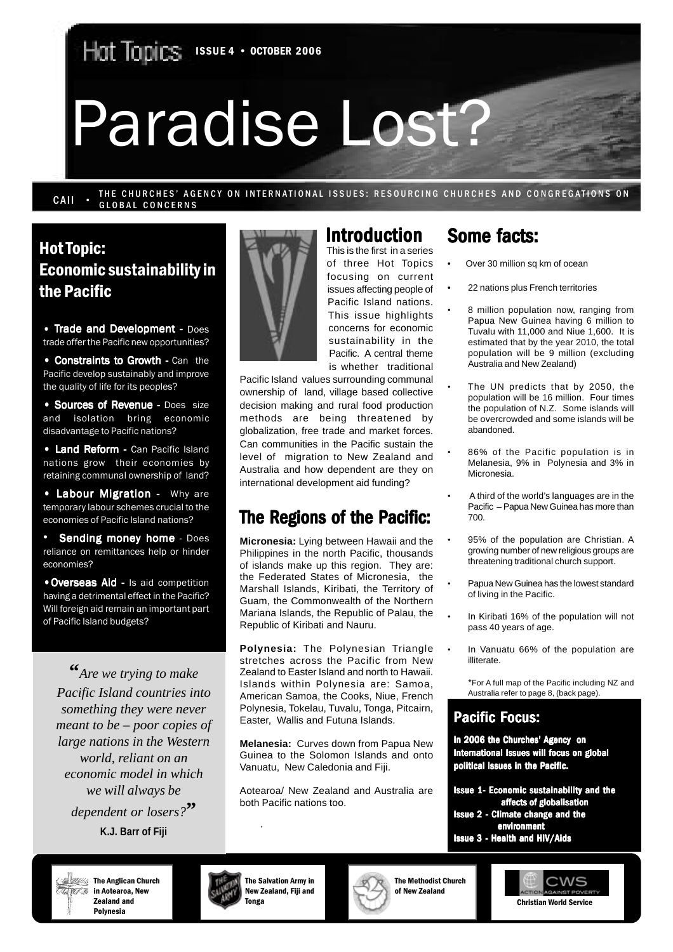Hat Tapics ISSUE 4 · OCTOBER 2006

# Paradise Lost?

THE CHURCHES' AGENCY ON INTERNATIONAL ISSUES: RESOURCING CHURCHES AND CONGREGATIONS ON **GLOBAL CONCERNS** CAII .

## Hot Topic: Economic sustainability in the Pacific

 $\cdot$  Trade and Development - Does trade offer the Pacific new opportunities?

• Constraints to Growth - Can the Pacific develop sustainably and improve the quality of life for its peoples?

• Sources of Revenue - Does size and isolation bring economic disadvantage to Pacific nations?

• Land Reform - Can Pacific Island nations grow their economies by retaining communal ownership of land?

• Labour Migration - Why are temporary labour schemes crucial to the economies of Pacific Island nations?

Sending money home - Does reliance on remittances help or hinder economies?

• Overseas Aid - Is aid competition having a detrimental effect in the Pacific? Will foreign aid remain an important part of Pacific Island budgets?

**"***Are we trying to make Pacific Island countries into something they were never meant to be – poor copies of large nations in the Western world, reliant on an economic model in which we will always be dependent or losers?***" K.J. Barr of Fiji**



## **Introduction**

This is the first in a series of three Hot Topics focusing on current issues affecting people of Pacific Island nations. This issue highlights concerns for economic sustainability in the Pacific. A central theme is whether traditional

Pacific Island values surrounding communal ownership of land, village based collective decision making and rural food production methods are being threatened by globalization, free trade and market forces. Can communities in the Pacific sustain the level of migration to New Zealand and Australia and how dependent are they on international development aid funding?

## The Regions of the Pacific:

**Micronesia:** Lying between Hawaii and the Philippines in the north Pacific, thousands of islands make up this region. They are: the Federated States of Micronesia, the Marshall Islands, Kiribati, the Territory of Guam, the Commonwealth of the Northern Mariana Islands, the Republic of Palau, the Republic of Kiribati and Nauru.

**Polynesia:** The Polynesian Triangle stretches across the Pacific from New Zealand to Easter Island and north to Hawaii. Islands within Polynesia are: Samoa, American Samoa, the Cooks, Niue, French Polynesia, Tokelau, Tuvalu, Tonga, Pitcairn, Easter, Wallis and Futuna Islands.

**Melanesia:** Curves down from Papua New Guinea to the Solomon Islands and onto Vanuatu, New Caledonia and Fiji.

Aotearoa/ New Zealand and Australia are both Pacific nations too.

## Some facts:

- Over 30 million sq km of ocean
- 22 nations plus French territories
	- 8 million population now, ranging from Papua New Guinea having 6 million to Tuvalu with 11,000 and Niue 1,600. It is estimated that by the year 2010, the total population will be 9 million (excluding Australia and New Zealand)
- The UN predicts that by 2050, the population will be 16 million. Four times the population of N.Z. Some islands will be overcrowded and some islands will be abandoned.
- 86% of the Pacific population is in Melanesia, 9% in Polynesia and 3% in Micronesia.
- A third of the world's languages are in the Pacific – Papua New Guinea has more than 700.
- 95% of the population are Christian. A growing number of new religious groups are threatening traditional church support.
- Papua New Guinea has the lowest standard of living in the Pacific.
- In Kiribati 16% of the population will not pass 40 years of age.
- In Vanuatu 66% of the population are illiterate.

 \*For A full map of the Pacific including NZ and Australia refer to page 8, (back page).

#### **Pacific Focus:**

In 2006 the Churches' Agency on International Issues will focus on global political issues in the Pacific.

- Issue 1- Economic sustainability and the affects of globalisation
- Issue 2 Climate change and the environment
- Issue 3 Health and HIV/Aids

**All Collection** The Anglican Church *ing a* in Aotearoa, New Zealand and Polynesia



The Salvation Army in New Zealand, Fiji and Tonga

·



The Methodist Church of New Zealand

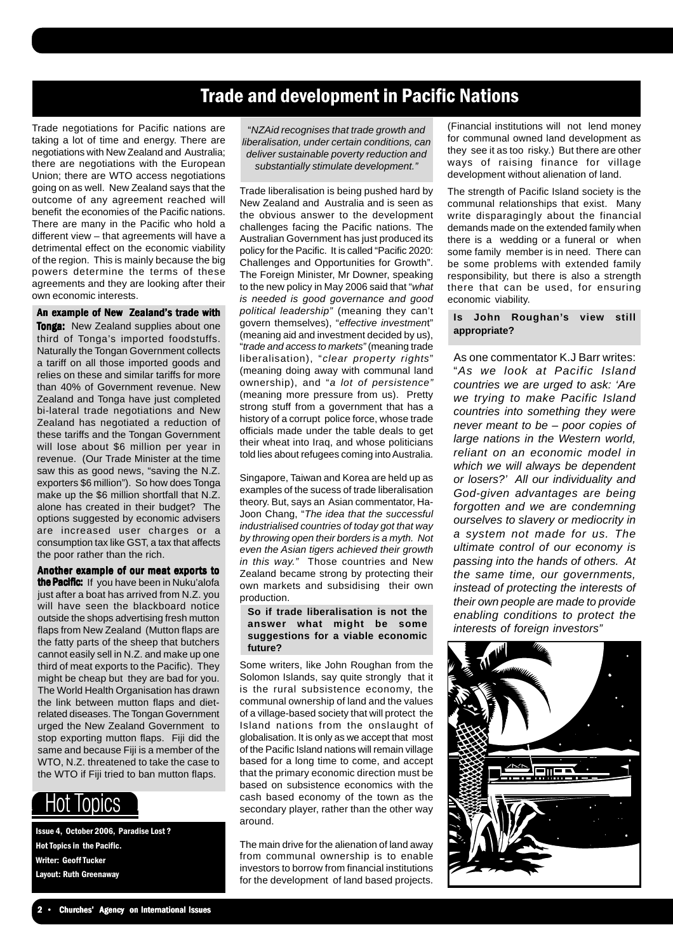## Trade and development in Pacific Nations

Trade negotiations for Pacific nations are taking a lot of time and energy. There are negotiations with New Zealand and Australia; there are negotiations with the European Union; there are WTO access negotiations going on as well. New Zealand says that the outcome of any agreement reached will benefit the economies of the Pacific nations. There are many in the Pacific who hold a different view – that agreements will have a detrimental effect on the economic viability of the region. This is mainly because the big powers determine the terms of these agreements and they are looking after their own economic interests.

An example of New Zealand's trade with

**Tonga:** New Zealand supplies about one third of Tonga's imported foodstuffs. Naturally the Tongan Government collects a tariff on all those imported goods and relies on these and similar tariffs for more than 40% of Government revenue. New Zealand and Tonga have just completed bi-lateral trade negotiations and New Zealand has negotiated a reduction of these tariffs and the Tongan Government will lose about \$6 million per year in revenue. (Our Trade Minister at the time saw this as good news, "saving the N.Z. exporters \$6 million"). So how does Tonga make up the \$6 million shortfall that N.Z. alone has created in their budget? The options suggested by economic advisers are increased user charges or a consumption tax like GST, a tax that affects the poor rather than the rich.

Another example of our meat exports to the Pacific: If you have been in Nuku'alofa just after a boat has arrived from N.Z. you will have seen the blackboard notice outside the shops advertising fresh mutton flaps from New Zealand (Mutton flaps are the fatty parts of the sheep that butchers cannot easily sell in N.Z. and make up one third of meat exports to the Pacific). They might be cheap but they are bad for you. The World Health Organisation has drawn the link between mutton flaps and dietrelated diseases. The Tongan Government urged the New Zealand Government to stop exporting mutton flaps. Fiji did the same and because Fiji is a member of the WTO, N.Z. threatened to take the case to the WTO if Fiji tried to ban mutton flaps.

## **IODICS**

Issue 4, October 2006, Paradise Lost ? Hot Topics in the Pacific. Writer: Geoff Tucker Layout: Ruth Greenaway

"*NZAid recognises that trade growth and liberalisation, under certain conditions, can deliver sustainable poverty reduction and substantially stimulate development."*

Trade liberalisation is being pushed hard by New Zealand and Australia and is seen as the obvious answer to the development challenges facing the Pacific nations. The Australian Government has just produced its policy for the Pacific. It is called "Pacific 2020: Challenges and Opportunities for Growth". The Foreign Minister, Mr Downer, speaking to the new policy in May 2006 said that "*what is needed is good governance and good political leadership"* (meaning they can't govern themselves), "*effective investmen*t" (meaning aid and investment decided by us), "*trade and access to markets"* (meaning trade liberalisation), "*clear property rights*" (meaning doing away with communal land ownership), and "*a lot of persistence"* (meaning more pressure from us). Pretty strong stuff from a government that has a history of a corrupt police force, whose trade officials made under the table deals to get their wheat into Iraq, and whose politicians told lies about refugees coming into Australia.

Singapore, Taiwan and Korea are held up as examples of the sucess of trade liberalisation theory. But, says an Asian commentator, Ha-Joon Chang, "*The idea that the successful industrialised countries of today got that way by throwing open their borders is a myth. Not even the Asian tigers achieved their growth in this way."* Those countries and New Zealand became strong by protecting their own markets and subsidising their own production.

#### **So if trade liberalisation is not the answer what might be some suggestions for a viable economic future?**

Some writers, like John Roughan from the Solomon Islands, say quite strongly that it is the rural subsistence economy, the communal ownership of land and the values of a village-based society that will protect the Island nations from the onslaught of globalisation. It is only as we accept that most of the Pacific Island nations will remain village based for a long time to come, and accept that the primary economic direction must be based on subsistence economics with the cash based economy of the town as the secondary player, rather than the other way around.

The main drive for the alienation of land away from communal ownership is to enable investors to borrow from financial institutions for the development of land based projects.

(Financial institutions will not lend money for communal owned land development as they see it as too risky.) But there are other ways of raising finance for village development without alienation of land.

The strength of Pacific Island society is the communal relationships that exist. Many write disparagingly about the financial demands made on the extended family when there is a wedding or a funeral or when some family member is in need. There can be some problems with extended family responsibility, but there is also a strength there that can be used, for ensuring economic viability.

#### **Is John Roughan's view still appropriate?**

As one commentator K.J Barr writes: "*As we look at Pacific Island countries we are urged to ask: 'Are we trying to make Pacific Island countries into something they were never meant to be – poor copies of large nations in the Western world, reliant on an economic model in which we will always be dependent or losers?' All our individuality and God-given advantages are being forgotten and we are condemning ourselves to slavery or mediocrity in a system not made for us. The ultimate control of our economy is passing into the hands of others. At the same time, our governments, instead of protecting the interests of their own people are made to provide enabling conditions to protect the interests of foreign investors"*

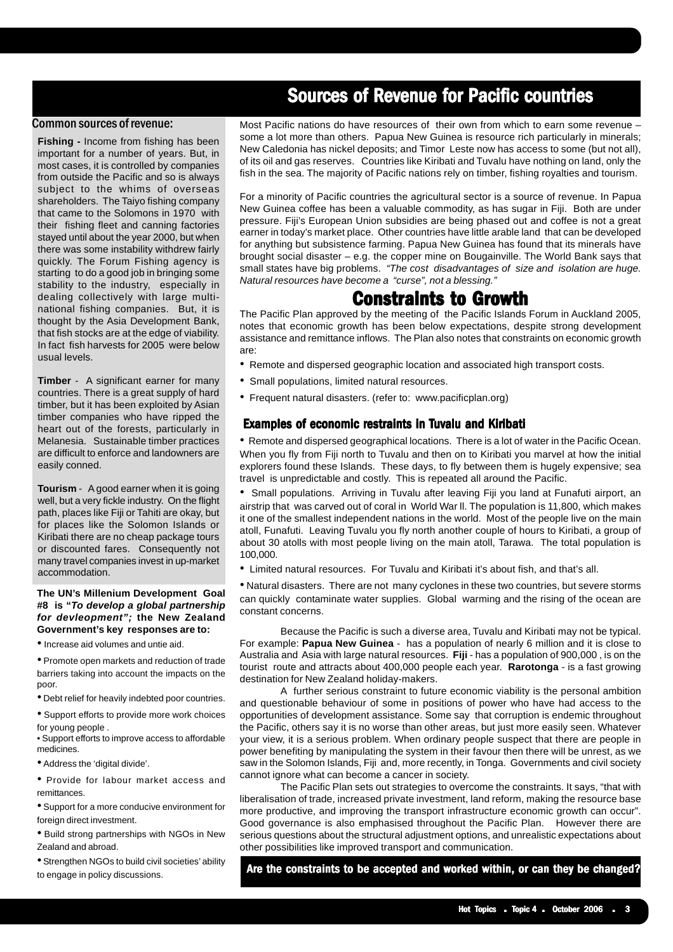## Sources of Revenue for Pacific countries

#### Common sources of revenue:

**Fishing -** Income from fishing has been important for a number of years. But, in most cases, it is controlled by companies from outside the Pacific and so is always subject to the whims of overseas shareholders. The Taiyo fishing company that came to the Solomons in 1970 with their fishing fleet and canning factories stayed until about the year 2000, but when there was some instability withdrew fairly quickly. The Forum Fishing agency is starting to do a good job in bringing some stability to the industry, especially in dealing collectively with large multinational fishing companies. But, it is thought by the Asia Development Bank, that fish stocks are at the edge of viability. In fact fish harvests for 2005 were below usual levels.

**Timber** - A significant earner for many countries. There is a great supply of hard timber, but it has been exploited by Asian timber companies who have ripped the heart out of the forests, particularly in Melanesia. Sustainable timber practices are difficult to enforce and landowners are easily conned.

**Tourism** - A good earner when it is going well, but a very fickle industry. On the flight path, places like Fiji or Tahiti are okay, but for places like the Solomon Islands or Kiribati there are no cheap package tours or discounted fares. Consequently not many travel companies invest in up-market accommodation.

#### **The UN's Millenium Development Goal #8 is "***To develop a global partnership for devleopment";* **the New Zealand Government's key responses are to:**

• Increase aid volumes and untie aid.

• Promote open markets and reduction of trade barriers taking into account the impacts on the poor.

• Debt relief for heavily indebted poor countries.

• Support efforts to provide more work choices for young people .

• Support efforts to improve access to affordable medicines.

• Address the 'digital divide'.

• Provide for labour market access and remittances.

• Support for a more conducive environment for foreign direct investment.

• Build strong partnerships with NGOs in New Zealand and abroad.

•Strengthen NGOs to build civil societies' ability to engage in policy discussions.

Most Pacific nations do have resources of their own from which to earn some revenue – some a lot more than others. Papua New Guinea is resource rich particularly in minerals; New Caledonia has nickel deposits; and Timor Leste now has access to some (but not all), of its oil and gas reserves. Countries like Kiribati and Tuvalu have nothing on land, only the fish in the sea. The majority of Pacific nations rely on timber, fishing royalties and tourism.

For a minority of Pacific countries the agricultural sector is a source of revenue. In Papua New Guinea coffee has been a valuable commodity, as has sugar in Fiji. Both are under pressure. Fiji's European Union subsidies are being phased out and coffee is not a great earner in today's market place. Other countries have little arable land that can be developed for anything but subsistence farming. Papua New Guinea has found that its minerals have brought social disaster – e.g. the copper mine on Bougainville. The World Bank says that small states have big problems. *"The cost disadvantages of size and isolation are huge. Natural resources have become a "curse", not a blessing."*

## **Constraints to Growth**

The Pacific Plan approved by the meeting of the Pacific Islands Forum in Auckland 2005, notes that economic growth has been below expectations, despite strong development assistance and remittance inflows. The Plan also notes that constraints on economic growth are:

- Remote and dispersed geographic location and associated high transport costs.
- Small populations, limited natural resources.
- Frequent natural disasters. (refer to: www.pacificplan.org)

#### Examples of economic restraints in Tuvalu and Kiribati

• Remote and dispersed geographical locations. There is a lot of water in the Pacific Ocean. When you fly from Fiji north to Tuvalu and then on to Kiribati you marvel at how the initial explorers found these Islands. These days, to fly between them is hugely expensive; sea travel is unpredictable and costly. This is repeated all around the Pacific.

• Small populations. Arriving in Tuvalu after leaving Fiji you land at Funafuti airport, an airstrip that was carved out of coral in World War ll. The population is 11,800, which makes it one of the smallest independent nations in the world. Most of the people live on the main atoll, Funafuti. Leaving Tuvalu you fly north another couple of hours to Kiribati, a group of about 30 atolls with most people living on the main atoll, Tarawa. The total population is 100,000.

• Limited natural resources. For Tuvalu and Kiribati it's about fish, and that's all.

• Natural disasters. There are not many cyclones in these two countries, but severe storms can quickly contaminate water supplies. Global warming and the rising of the ocean are constant concerns.

Because the Pacific is such a diverse area, Tuvalu and Kiribati may not be typical. For example: **Papua New Guinea** - has a population of nearly 6 million and it is close to Australia and Asia with large natural resources. **Fiji** - has a population of 900,000 , is on the tourist route and attracts about 400,000 people each year. **Rarotonga** - is a fast growing destination for New Zealand holiday-makers.

A further serious constraint to future economic viability is the personal ambition and questionable behaviour of some in positions of power who have had access to the opportunities of development assistance. Some say that corruption is endemic throughout the Pacific, others say it is no worse than other areas, but just more easily seen. Whatever your view, it is a serious problem. When ordinary people suspect that there are people in power benefiting by manipulating the system in their favour then there will be unrest, as we saw in the Solomon Islands, Fiji and, more recently, in Tonga. Governments and civil society cannot ignore what can become a cancer in society.

The Pacific Plan sets out strategies to overcome the constraints. It says, "that with liberalisation of trade, increased private investment, land reform, making the resource base more productive, and improving the transport infrastructure economic growth can occur". Good governance is also emphasised throughout the Pacific Plan. However there are serious questions about the structural adjustment options, and unrealistic expectations about other possibilities like improved transport and communication.

Are the constraints to be accepted and worked within, or can they be changed?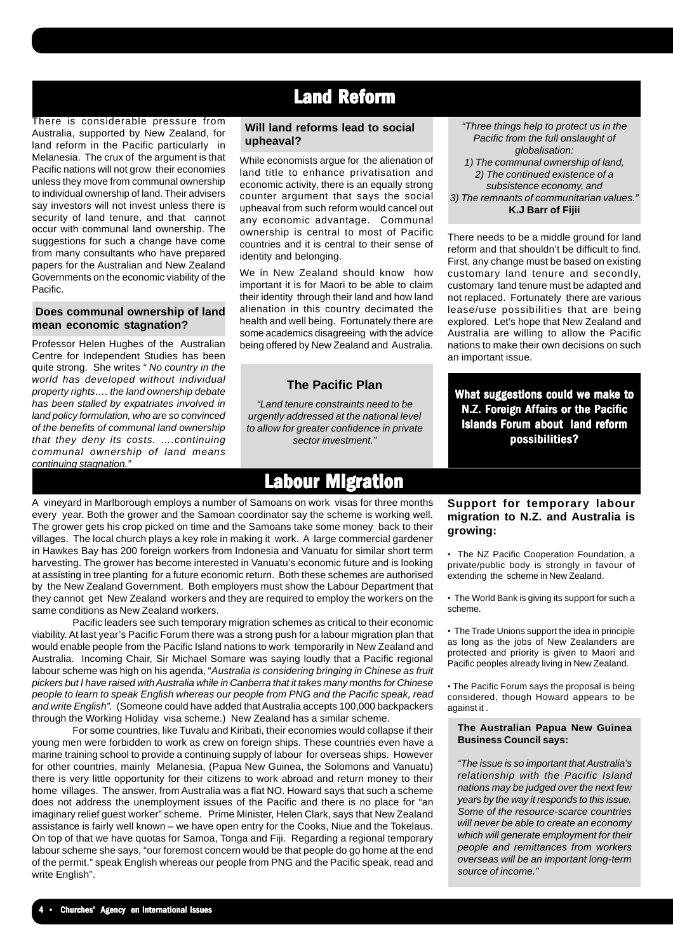## Land Reform

#### There is considerable pressure from Australia, supported by New Zealand, for land reform in the Pacific particularly in Melanesia. The crux of the argument is that Pacific nations will not grow their economies unless they move from communal ownership to individual ownership of land. Their advisers say investors will not invest unless there is security of land tenure, and that cannot occur with communal land ownership. The suggestions for such a change have come from many consultants who have prepared papers for the Australian and New Zealand Governments on the economic viability of the Pacific.

#### **Does communal ownership of land mean economic stagnation?**

Professor Helen Hughes of the Australian Centre for Independent Studies has been quite strong. She writes *" No country in the world has developed without individual property rights…. the land ownership debate has been stalled by expatriates involved in land policy formulation, who are so convinced of the benefits of communal land ownership that they deny its costs. ….continuing communal ownership of land means continuing stagnation.*"

#### **Will land reforms lead to social upheaval?**

While economists argue for the alienation of land title to enhance privatisation and economic activity, there is an equally strong counter argument that says the social upheaval from such reform would cancel out any economic advantage. Communal ownership is central to most of Pacific countries and it is central to their sense of identity and belonging.

We in New Zealand should know how important it is for Maori to be able to claim their identity through their land and how land alienation in this country decimated the health and well being. Fortunately there are some academics disagreeing with the advice being offered by New Zealand and Australia.

#### **The Pacific Plan**

*"Land tenure constraints need to be urgently addressed at the national level to allow for greater confidence in private sector investment."*

## **Labour Migration**

harvesting. The grower has become interested in Vanuatu's economic future and is looking A vineyard in Marlborough employs a number of Samoans on work visas for three months every year. Both the grower and the Samoan coordinator say the scheme is working well. The grower gets his crop picked on time and the Samoans take some money back to their villages. The local church plays a key role in making it work. A large commercial gardener in Hawkes Bay has 200 foreign workers from Indonesia and Vanuatu for similar short term at assisting in tree planting for a future economic return. Both these schemes are authorised by the New Zealand Government. Both employers must show the Labour Department that they cannot get New Zealand workers and they are required to employ the workers on the same conditions as New Zealand workers.

Pacific leaders see such temporary migration schemes as critical to their economic viability. At last year's Pacific Forum there was a strong push for a labour migration plan that would enable people from the Pacific Island nations to work temporarily in New Zealand and Australia. Incoming Chair, Sir Michael Somare was saying loudly that a Pacific regional labour scheme was high on his agenda, "*Australia is considering bringing in Chinese as fruit pickers but I have raised with Australia while in Canberra that it takes many months for Chinese people to learn to speak English whereas our people from PNG and the Pacific speak, read and write English".* (Someone could have added that Australia accepts 100,000 backpackers through the Working Holiday visa scheme.) New Zealand has a similar scheme.

For some countries, like Tuvalu and Kiribati, their economies would collapse if their young men were forbidden to work as crew on foreign ships. These countries even have a marine training school to provide a continuing supply of labour for overseas ships. However for other countries, mainly Melanesia, (Papua New Guinea, the Solomons and Vanuatu) there is very little opportunity for their citizens to work abroad and return money to their home villages. The answer, from Australia was a flat NO. Howard says that such a scheme does not address the unemployment issues of the Pacific and there is no place for "an imaginary relief guest worker" scheme. Prime Minister, Helen Clark, says that New Zealand assistance is fairly well known – we have open entry for the Cooks, Niue and the Tokelaus. On top of that we have quotas for Samoa, Tonga and Fiji. Regarding a regional temporary labour scheme she says, "our foremost concern would be that people do go home at the end of the permit." speak English whereas our people from PNG and the Pacific speak, read and write English".

*"Three things help to protect us in the Pacific from the full onslaught of globalisation: 1) The communal ownership of land,*

*2) The continued existence of a subsistence economy, and 3) The remnants of communitarian values."* **K.J Barr of Fijii**

There needs to be a middle ground for land reform and that shouldn't be difficult to find. First, any change must be based on existing customary land tenure and secondly, customary land tenure must be adapted and not replaced. Fortunately there are various lease/use possibilities that are being explored. Let's hope that New Zealand and Australia are willing to allow the Pacific nations to make their own decisions on such an important issue.

What suggestions could we make to N.Z. Foreign Affairs or the Pacific Islands Forum about land reform possibilities?

#### **Support for temporary labour migration to N.Z. and Australia is growing:**

• The NZ Pacific Cooperation Foundation, a private/public body is strongly in favour of extending the scheme in New Zealand.

• The World Bank is giving its support for such a scheme.

• The Trade Unions support the idea in principle as long as the jobs of New Zealanders are protected and priority is given to Maori and Pacific peoples already living in New Zealand.

• The Pacific Forum says the proposal is being considered, though Howard appears to be against it .

#### **The Australian Papua New Guinea Business Council says:**

*"The issue is so important that Australia's relationship with the Pacific Island nations may be judged over the next few years by the way it responds to this issue. Some of the resource-scarce countries will never be able to create an economy which will generate employment for their people and remittances from workers overseas will be an important long-term source of income."*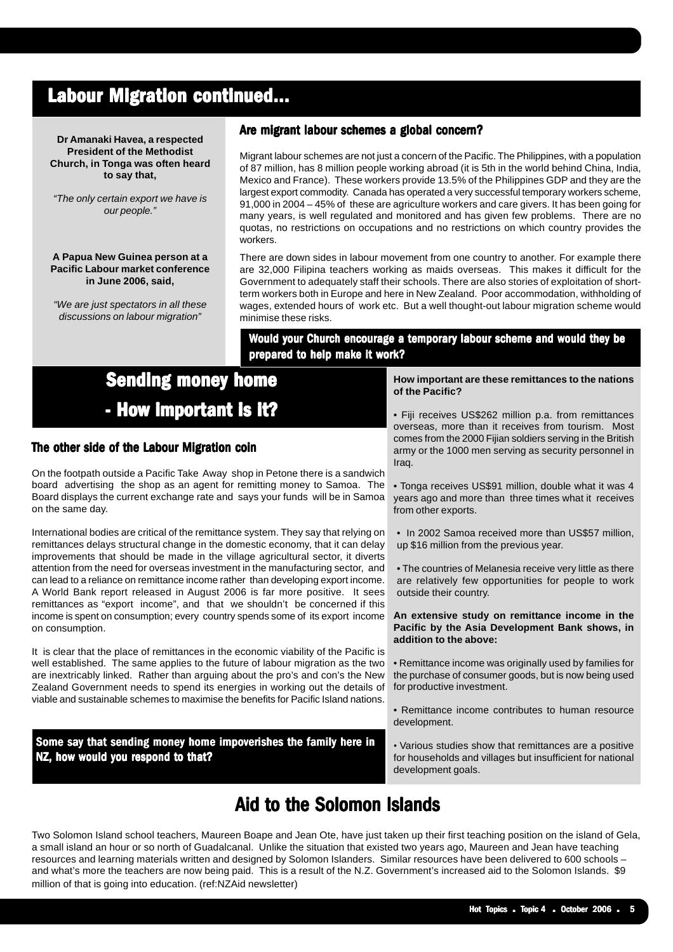## Labour Migration continued...

**Dr Amanaki Havea, a respected President of the Methodist Church, in Tonga was often heard to say that,**

*"The only certain export we have is our people."*

#### **A Papua New Guinea person at a Pacific Labour market conference in June 2006, said,**

*"We are just spectators in all these discussions on labour migration"*

#### Are migrant labour schemes a global concern?

Migrant labour schemes are not just a concern of the Pacific. The Philippines, with a population of 87 million, has 8 million people working abroad (it is 5th in the world behind China, India, Mexico and France). These workers provide 13.5% of the Philippines GDP and they are the largest export commodity. Canada has operated a very successful temporary workers scheme, 91,000 in 2004 – 45% of these are agriculture workers and care givers. It has been going for many years, is well regulated and monitored and has given few problems. There are no quotas, no restrictions on occupations and no restrictions on which country provides the workers.

There are down sides in labour movement from one country to another. For example there are 32,000 Filipina teachers working as maids overseas. This makes it difficult for the Government to adequately staff their schools. There are also stories of exploitation of shortterm workers both in Europe and here in New Zealand. Poor accommodation, withholding of wages, extended hours of work etc. But a well thought-out labour migration scheme would minimise these risks.

Would your Church encourage a temporary labour scheme and would they be prepared to help make it work?

## **Sending money home** - How important is it?

#### The other side of the Labour Migration coin

On the footpath outside a Pacific Take Away shop in Petone there is a sandwich board advertising the shop as an agent for remitting money to Samoa. The Board displays the current exchange rate and says your funds will be in Samoa on the same day.

International bodies are critical of the remittance system. They say that relying on remittances delays structural change in the domestic economy, that it can delay improvements that should be made in the village agricultural sector, it diverts attention from the need for overseas investment in the manufacturing sector, and can lead to a reliance on remittance income rather than developing export income. A World Bank report released in August 2006 is far more positive. It sees remittances as "export income", and that we shouldn't be concerned if this income is spent on consumption; every country spends some of its export income on consumption.

It is clear that the place of remittances in the economic viability of the Pacific is well established. The same applies to the future of labour migration as the two are inextricably linked. Rather than arguing about the pro's and con's the New Zealand Government needs to spend its energies in working out the details of viable and sustainable schemes to maximise the benefits for Pacific Island nations.

Some say that sending money home impoverishes the family here in NZ, how would you respond to that?

Would your church encrouage a temporary o **of the Pacific? How important are these remittances to the nations**

- Fiji receives US\$262 million p.a. from remittances overseas, more than it receives from tourism. Most comes from the 2000 Fijian soldiers serving in the British army or the 1000 men serving as security personnel in Iraq.
- Tonga receives US\$91 million, double what it was 4 years ago and more than three times what it receives from other exports.
- In 2002 Samoa received more than US\$57 million, up \$16 million from the previous year.
- The countries of Melanesia receive very little as there are relatively few opportunities for people to work outside their country.

**An extensive study on remittance income in the Pacific by the Asia Development Bank shows, in addition to the above:**

- Remittance income was originally used by families for the purchase of consumer goods, but is now being used for productive investment.
- Remittance income contributes to human resource development.
- Various studies show that remittances are a positive for households and villages but insufficient for national development goals.

## Aid to the Solomon Islands

Two Solomon Island school teachers, Maureen Boape and Jean Ote, have just taken up their first teaching position on the island of Gela, a small island an hour or so north of Guadalcanal. Unlike the situation that existed two years ago, Maureen and Jean have teaching resources and learning materials written and designed by Solomon Islanders. Similar resources have been delivered to 600 schools – and what's more the teachers are now being paid. This is a result of the N.Z. Government's increased aid to the Solomon Islands. \$9 million of that is going into education. (ref:NZAid newsletter)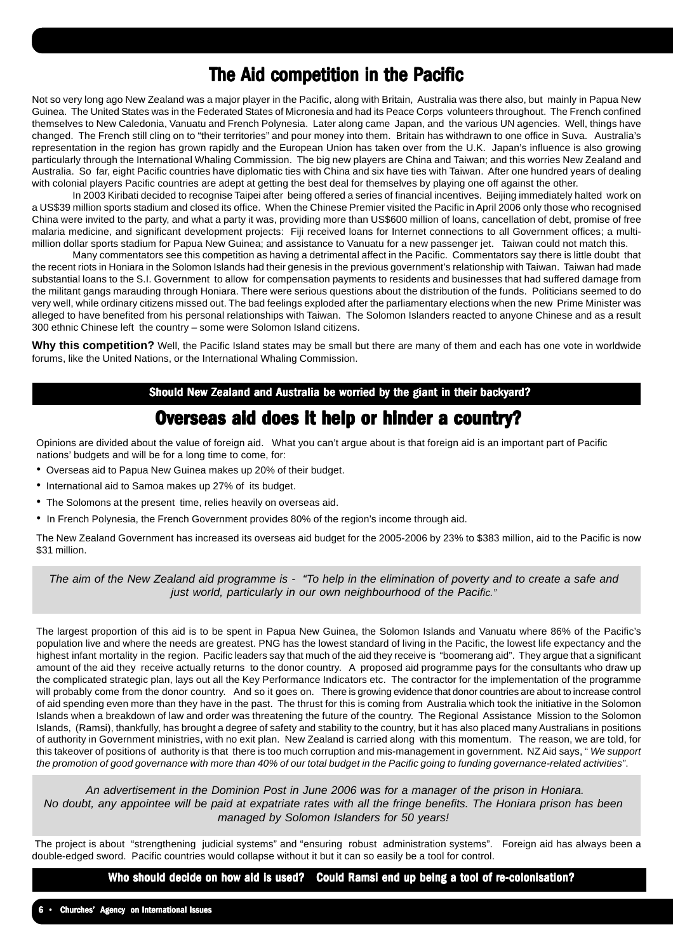## The Aid competition in the Pacific

Not so very long ago New Zealand was a major player in the Pacific, along with Britain, Australia was there also, but mainly in Papua New Guinea. The United States was in the Federated States of Micronesia and had its Peace Corps volunteers throughout. The French confined themselves to New Caledonia, Vanuatu and French Polynesia. Later along came Japan, and the various UN agencies. Well, things have changed. The French still cling on to "their territories" and pour money into them. Britain has withdrawn to one office in Suva. Australia's representation in the region has grown rapidly and the European Union has taken over from the U.K. Japan's influence is also growing particularly through the International Whaling Commission. The big new players are China and Taiwan; and this worries New Zealand and Australia. So far, eight Pacific countries have diplomatic ties with China and six have ties with Taiwan. After one hundred years of dealing with colonial players Pacific countries are adept at getting the best deal for themselves by playing one off against the other.

In 2003 Kiribati decided to recognise Taipei after being offered a series of financial incentives. Beijing immediately halted work on a US\$39 million sports stadium and closed its office. When the Chinese Premier visited the Pacific in April 2006 only those who recognised China were invited to the party, and what a party it was, providing more than US\$600 million of loans, cancellation of debt, promise of free malaria medicine, and significant development projects: Fiji received loans for Internet connections to all Government offices; a multimillion dollar sports stadium for Papua New Guinea; and assistance to Vanuatu for a new passenger jet. Taiwan could not match this.

Many commentators see this competition as having a detrimental affect in the Pacific. Commentators say there is little doubt that the recent riots in Honiara in the Solomon Islands had their genesis in the previous government's relationship with Taiwan. Taiwan had made substantial loans to the S.I. Government to allow for compensation payments to residents and businesses that had suffered damage from the militant gangs marauding through Honiara. There were serious questions about the distribution of the funds. Politicians seemed to do very well, while ordinary citizens missed out. The bad feelings exploded after the parliamentary elections when the new Prime Minister was alleged to have benefited from his personal relationships with Taiwan. The Solomon Islanders reacted to anyone Chinese and as a result 300 ethnic Chinese left the country – some were Solomon Island citizens.

**Why this competition?** Well, the Pacific Island states may be small but there are many of them and each has one vote in worldwide forums, like the United Nations, or the International Whaling Commission.

#### Should New Zealand and Australia be worried by the giant in their backyard?

## Overseas aid does it help or hinder a country?

Opinions are divided about the value of foreign aid. What you can't argue about is that foreign aid is an important part of Pacific nations' budgets and will be for a long time to come, for:

- Overseas aid to Papua New Guinea makes up 20% of their budget.
- International aid to Samoa makes up 27% of its budget.
- The Solomons at the present time, relies heavily on overseas aid.
- In French Polynesia, the French Government provides 80% of the region's income through aid.

The New Zealand Government has increased its overseas aid budget for the 2005-2006 by 23% to \$383 million, aid to the Pacific is now \$31 million.

*The aim of the New Zealand aid programme is - "To help in the elimination of poverty and to create a safe and just world, particularly in our own neighbourhood of the Pacific."*

The largest proportion of this aid is to be spent in Papua New Guinea, the Solomon Islands and Vanuatu where 86% of the Pacific's population live and where the needs are greatest. PNG has the lowest standard of living in the Pacific, the lowest life expectancy and the highest infant mortality in the region. Pacific leaders say that much of the aid they receive is "boomerang aid". They argue that a significant amount of the aid they receive actually returns to the donor country. A proposed aid programme pays for the consultants who draw up the complicated strategic plan, lays out all the Key Performance Indicators etc. The contractor for the implementation of the programme will probably come from the donor country. And so it goes on. There is growing evidence that donor countries are about to increase control of aid spending even more than they have in the past. The thrust for this is coming from Australia which took the initiative in the Solomon Islands when a breakdown of law and order was threatening the future of the country. The Regional Assistance Mission to the Solomon Islands, (Ramsi), thankfully, has brought a degree of safety and stability to the country, but it has also placed many Australians in positions of authority in Government ministries, with no exit plan. New Zealand is carried along with this momentum. The reason, we are told, for this takeover of positions of authority is that there is too much corruption and mis-management in government. NZ Aid says, " *We support the promotion of good governance with more than 40% of our total budget in the Pacific going to funding governance-related activities"*.

 *An advertisement in the Dominion Post in June 2006 was for a manager of the prison in Honiara. No doubt, any appointee will be paid at expatriate rates with all the fringe benefits. The Honiara prison has been managed by Solomon Islanders for 50 years!*

 The project is about "strengthening judicial systems" and "ensuring robust administration systems". Foreign aid has always been a double-edged sword. Pacific countries would collapse without it but it can so easily be a tool for control.

Who should decide on how aid is used? Could Ramsi end up being a tool of re-colonisation?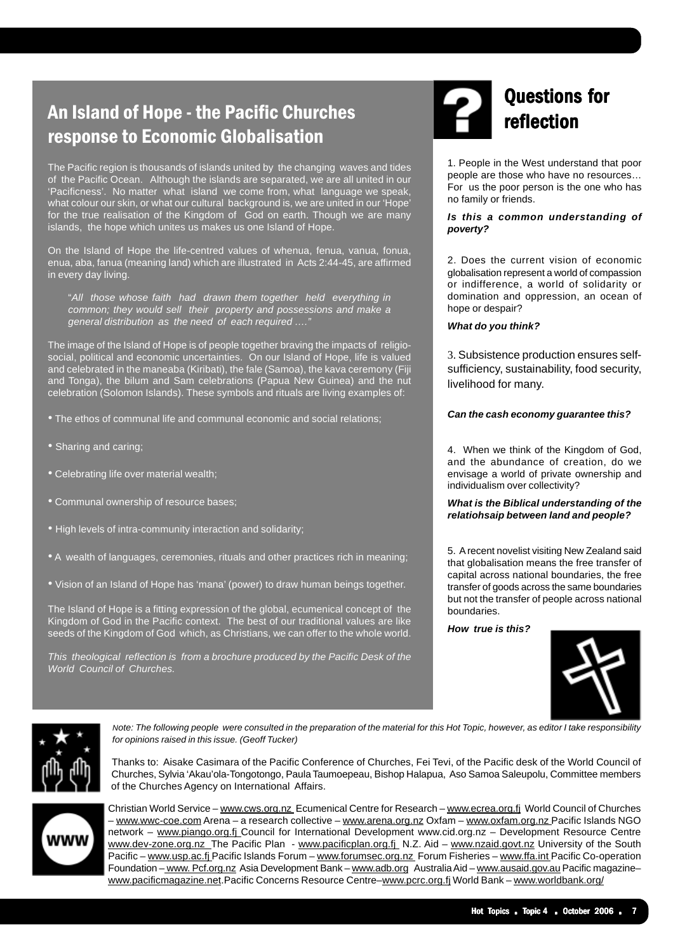## An Island of Hope - the Pacific Churches response to Economic Globalisation

The Pacific region is thousands of islands united by the changing waves and tides of the Pacific Ocean. Although the islands are separated, we are all united in our 'Pacificness'. No matter what island we come from, what language we speak, what colour our skin, or what our cultural background is, we are united in our 'Hope' for the true realisation of the Kingdom of God on earth. Though we are many islands, the hope which unites us makes us one Island of Hope.

On the Island of Hope the life-centred values of whenua, fenua, vanua, fonua, enua, aba, fanua (meaning land) which are illustrated in Acts 2:44-45, are affirmed in every day living.

"*All those whose faith had drawn them together held everything in common; they would sell their property and possessions and make a general distribution as the need of each required …."*

The image of the Island of Hope is of people together braving the impacts of religiosocial, political and economic uncertainties. On our Island of Hope, life is valued and celebrated in the maneaba (Kiribati), the fale (Samoa), the kava ceremony (Fiji and Tonga), the bilum and Sam celebrations (Papua New Guinea) and the nut celebration (Solomon Islands). These symbols and rituals are living examples of:

- The ethos of communal life and communal economic and social relations;
- Sharing and caring;
- Celebrating life over material wealth;
- Communal ownership of resource bases;
- High levels of intra-community interaction and solidarity;
- A wealth of languages, ceremonies, rituals and other practices rich in meaning;
- Vision of an Island of Hope has 'mana' (power) to draw human beings together.

The Island of Hope is a fitting expression of the global, ecumenical concept of the Kingdom of God in the Pacific context. The best of our traditional values are like seeds of the Kingdom of God which, as Christians, we can offer to the whole world.

*This theological reflection is from a brochure produced by the Pacific Desk of the World Council of Churches.*

## **Ouestions for** reflection

1. People in the West understand that poor<br>people are those who have no resources For us the poor person is the one who has<br>no family or friends people are those who have no resources… no family or friends.

#### *Is this a common understanding of poverty?*

2. Does the current vision of economic globalisation represent a world of compassion or indifference, a world of solidarity or domination and oppression, an ocean of hope or despair?

*What do you think?*

3. Subsistence production ensures selfsufficiency, sustainability, food security, livelihood for many.

#### *Can the cash economy guarantee this?*

4. When we think of the Kingdom of God, and the abundance of creation, do we envisage a world of private ownership and individualism over collectivity?

#### *What is the Biblical understanding of the relatiohsaip between land and people?*

5. A recent novelist visiting New Zealand said that globalisation means the free transfer of capital across national boundaries, the free transfer of goods across the same boundaries but not the transfer of people across national boundaries.

*How true is this?*





*Note: The following people were consulted in the preparation of the material for this Hot Topic, however, as editor I take responsibility for opinions raised in this issue. (Geoff Tucker)*

. Churches, Sylvia 'Akau'ola-Tongotongo, Paula Taumoepeau, Bishop Halapua, Aso Samoa Saleupolu, Committee members Thanks to: Aisake Casimara of the Pacific Conference of Churches, Fei Tevi, of the Pacific desk of the World Council of of the Churches Agency on International Affairs.



Christian World Service - www.cws.org.nz Ecumenical Centre for Research - www.ecrea.org.fj World Council of Churches – www.wwc-coe.com Arena – a research collective – www.arena.org.nz Oxfam – www.oxfam.org.nz Pacific Islands NGO network – www.piango.org.fj Council for International Development www.cid.org.nz – Development Resource Centre www.dev-zone.org.nz The Pacific Plan - www.pacificplan.org.fj N.Z. Aid - www.nzaid.govt.nz University of the South Pacific – www.usp.ac.fj Pacific Islands Forum – www.forumsec.org.nz Forum Fisheries – www.ffa.int Pacific Co-operation Foundation - www. Pcf.org.nz Asia Development Bank - www.adb.org Australia Aid - www.ausaid.gov.au Pacific magazinewww.pacificmagazine.net.Pacific Concerns Resource Centre-www.pcrc.org.fj World Bank - www.worldbank.org/